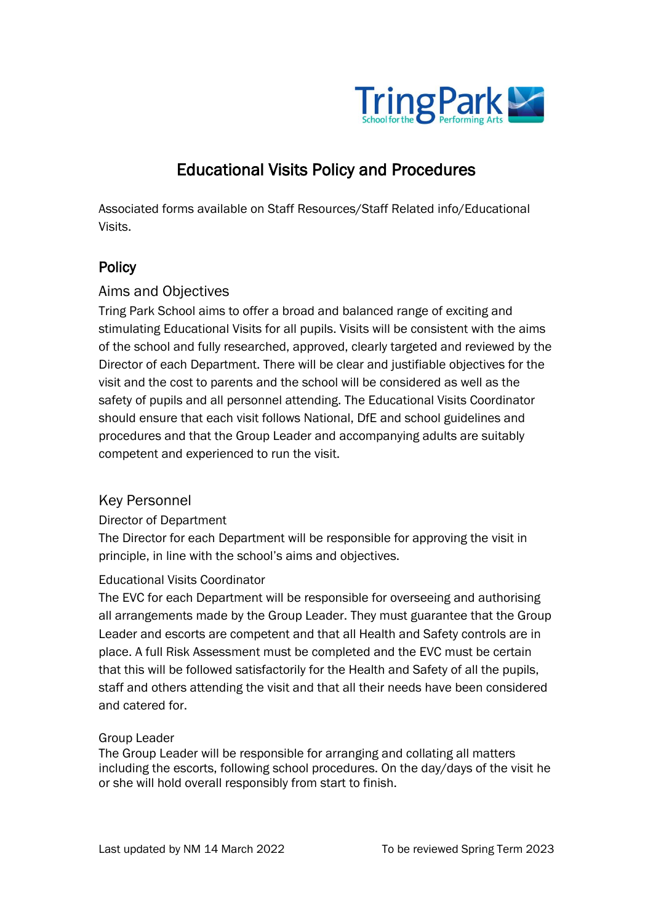

# Educational Visits Policy and Procedures

Associated forms available on Staff Resources/Staff Related info/Educational Visits.

# **Policy**

## Aims and Objectives

Tring Park School aims to offer a broad and balanced range of exciting and stimulating Educational Visits for all pupils. Visits will be consistent with the aims of the school and fully researched, approved, clearly targeted and reviewed by the Director of each Department. There will be clear and justifiable objectives for the visit and the cost to parents and the school will be considered as well as the safety of pupils and all personnel attending. The Educational Visits Coordinator should ensure that each visit follows National, DfE and school guidelines and procedures and that the Group Leader and accompanying adults are suitably competent and experienced to run the visit.

## Key Personnel

#### Director of Department

The Director for each Department will be responsible for approving the visit in principle, in line with the school's aims and objectives.

## Educational Visits Coordinator

The EVC for each Department will be responsible for overseeing and authorising all arrangements made by the Group Leader. They must guarantee that the Group Leader and escorts are competent and that all Health and Safety controls are in place. A full Risk Assessment must be completed and the EVC must be certain that this will be followed satisfactorily for the Health and Safety of all the pupils, staff and others attending the visit and that all their needs have been considered and catered for.

#### Group Leader

The Group Leader will be responsible for arranging and collating all matters including the escorts, following school procedures. On the day/days of the visit he or she will hold overall responsibly from start to finish.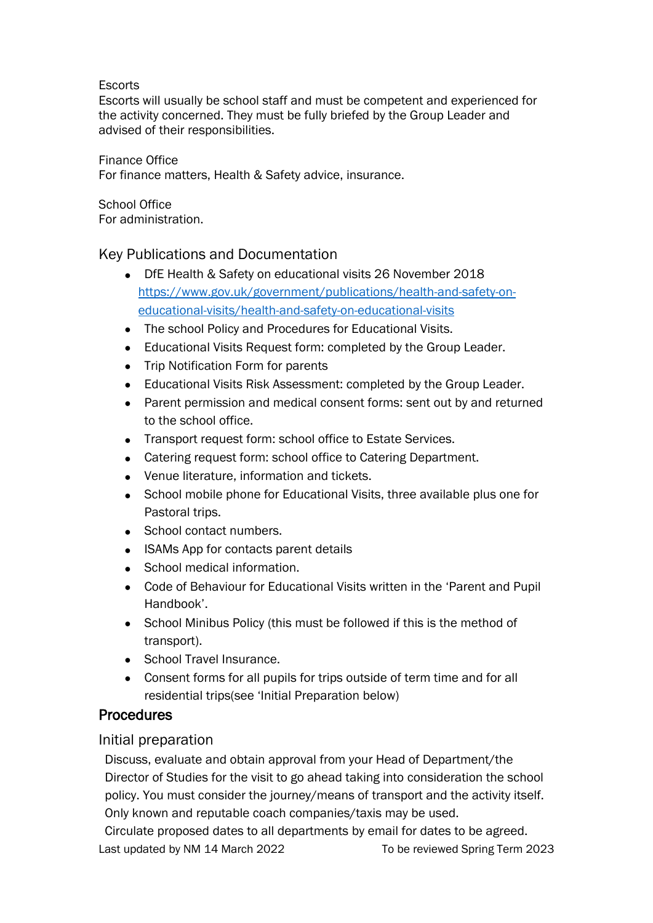#### **Escorts**

Escorts will usually be school staff and must be competent and experienced for the activity concerned. They must be fully briefed by the Group Leader and advised of their responsibilities.

#### Finance Office

For finance matters, Health & Safety advice, insurance.

School Office For administration.

## Key Publications and Documentation

- DfE Health & Safety on educational visits 26 November 2018 [https://www.gov.uk/government/publications/health-and-safety-on](https://www.gov.uk/government/publications/health-and-safety-on-educational-visits/health-and-safety-on-educational-visits)[educational-visits/health-and-safety-on-educational-visits](https://www.gov.uk/government/publications/health-and-safety-on-educational-visits/health-and-safety-on-educational-visits)
- The school Policy and Procedures for Educational Visits.
- Educational Visits Request form: completed by the Group Leader.
- Trip Notification Form for parents
- Educational Visits Risk Assessment: completed by the Group Leader.
- Parent permission and medical consent forms: sent out by and returned to the school office.
- Transport request form: school office to Estate Services.
- Catering request form: school office to Catering Department.
- Venue literature, information and tickets.
- School mobile phone for Educational Visits, three available plus one for Pastoral trips.
- School contact numbers.
- ISAMs App for contacts parent details
- School medical information.
- Code of Behaviour for Educational Visits written in the 'Parent and Pupil Handbook'.
- School Minibus Policy (this must be followed if this is the method of transport).
- School Travel Insurance.
- Consent forms for all pupils for trips outside of term time and for all residential trips(see 'Initial Preparation below)

## Procedures

## Initial preparation

Discuss, evaluate and obtain approval from your Head of Department/the Director of Studies for the visit to go ahead taking into consideration the school policy. You must consider the journey/means of transport and the activity itself. Only known and reputable coach companies/taxis may be used.

Last updated by NM 14 March 2022 To be reviewed Spring Term 2023 Circulate proposed dates to all departments by email for dates to be agreed.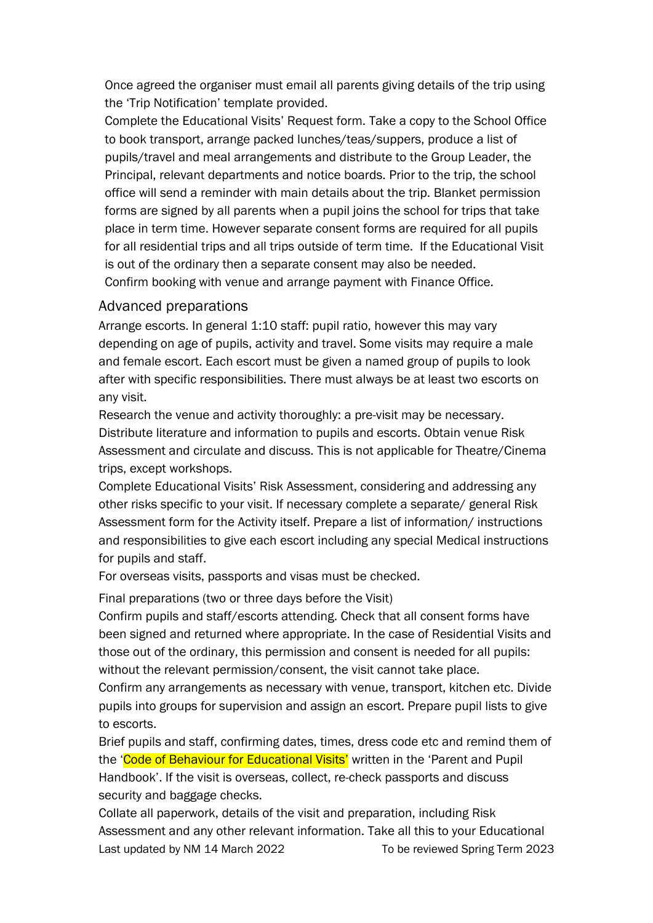Once agreed the organiser must email all parents giving details of the trip using the 'Trip Notification' template provided.

Complete the Educational Visits' Request form. Take a copy to the School Office to book transport, arrange packed lunches/teas/suppers, produce a list of pupils/travel and meal arrangements and distribute to the Group Leader, the Principal, relevant departments and notice boards. Prior to the trip, the school office will send a reminder with main details about the trip. Blanket permission forms are signed by all parents when a pupil joins the school for trips that take place in term time. However separate consent forms are required for all pupils for all residential trips and all trips outside of term time. If the Educational Visit is out of the ordinary then a separate consent may also be needed. Confirm booking with venue and arrange payment with Finance Office.

#### Advanced preparations

Arrange escorts. In general 1:10 staff: pupil ratio, however this may vary depending on age of pupils, activity and travel. Some visits may require a male and female escort. Each escort must be given a named group of pupils to look after with specific responsibilities. There must always be at least two escorts on any visit.

Research the venue and activity thoroughly: a pre-visit may be necessary. Distribute literature and information to pupils and escorts. Obtain venue Risk Assessment and circulate and discuss. This is not applicable for Theatre/Cinema trips, except workshops.

Complete Educational Visits' Risk Assessment, considering and addressing any other risks specific to your visit. If necessary complete a separate/ general Risk Assessment form for the Activity itself. Prepare a list of information/ instructions and responsibilities to give each escort including any special Medical instructions for pupils and staff.

For overseas visits, passports and visas must be checked.

Final preparations (two or three days before the Visit)

Confirm pupils and staff/escorts attending. Check that all consent forms have been signed and returned where appropriate. In the case of Residential Visits and those out of the ordinary, this permission and consent is needed for all pupils: without the relevant permission/consent, the visit cannot take place.

Confirm any arrangements as necessary with venue, transport, kitchen etc. Divide pupils into groups for supervision and assign an escort. Prepare pupil lists to give to escorts.

Brief pupils and staff, confirming dates, times, dress code etc and remind them of the 'Code of Behaviour for Educational Visits' written in the 'Parent and Pupil Handbook'. If the visit is overseas, collect, re-check passports and discuss security and baggage checks.

Last updated by NM 14 March 2022 To be reviewed Spring Term 2023 Collate all paperwork, details of the visit and preparation, including Risk Assessment and any other relevant information. Take all this to your Educational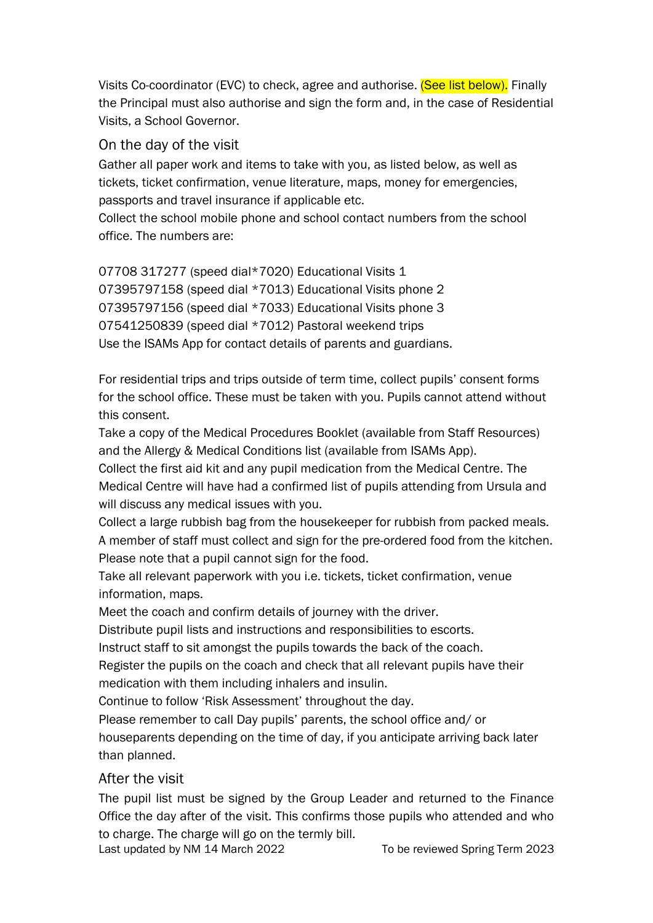Visits Co-coordinator (EVC) to check, agree and authorise. (See list below). Finally the Principal must also authorise and sign the form and, in the case of Residential Visits, a School Governor.

#### On the day of the visit

Gather all paper work and items to take with you, as listed below, as well as tickets, ticket confirmation, venue literature, maps, money for emergencies, passports and travel insurance if applicable etc.

Collect the school mobile phone and school contact numbers from the school office. The numbers are:

07708 317277 (speed dial\*7020) Educational Visits 1 07395797158 (speed dial \*7013) Educational Visits phone 2 07395797156 (speed dial \*7033) Educational Visits phone 3 07541250839 (speed dial \*7012) Pastoral weekend trips Use the ISAMs App for contact details of parents and guardians.

For residential trips and trips outside of term time, collect pupils' consent forms for the school office. These must be taken with you. Pupils cannot attend without this consent.

Take a copy of the Medical Procedures Booklet (available from Staff Resources) and the Allergy & Medical Conditions list (available from ISAMs App).

Collect the first aid kit and any pupil medication from the Medical Centre. The Medical Centre will have had a confirmed list of pupils attending from Ursula and will discuss any medical issues with you.

Collect a large rubbish bag from the housekeeper for rubbish from packed meals. A member of staff must collect and sign for the pre-ordered food from the kitchen. Please note that a pupil cannot sign for the food.

Take all relevant paperwork with you i.e. tickets, ticket confirmation, venue information, maps.

Meet the coach and confirm details of journey with the driver.

Distribute pupil lists and instructions and responsibilities to escorts.

Instruct staff to sit amongst the pupils towards the back of the coach.

Register the pupils on the coach and check that all relevant pupils have their medication with them including inhalers and insulin.

Continue to follow 'Risk Assessment' throughout the day.

Please remember to call Day pupils' parents, the school office and/ or houseparents depending on the time of day, if you anticipate arriving back later than planned.

After the visit

The pupil list must be signed by the Group Leader and returned to the Finance Office the day after of the visit. This confirms those pupils who attended and who to charge. The charge will go on the termly bill.

Last updated by NM 14 March 2022 To be reviewed Spring Term 2023